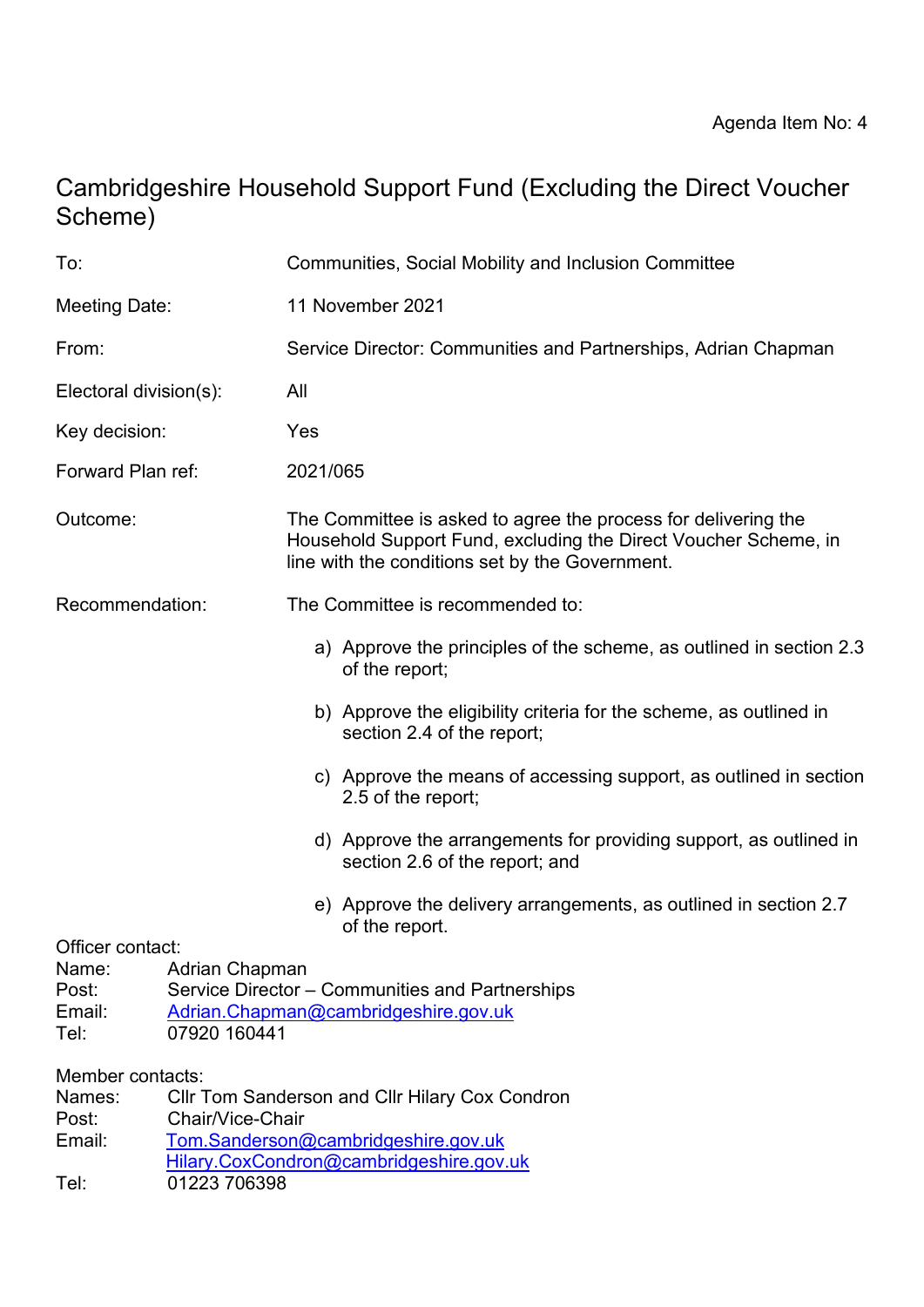# Cambridgeshire Household Support Fund (Excluding the Direct Voucher Scheme)

| To:                                                   |                                                                                                                           | Communities, Social Mobility and Inclusion Committee                                                                                                                                 |
|-------------------------------------------------------|---------------------------------------------------------------------------------------------------------------------------|--------------------------------------------------------------------------------------------------------------------------------------------------------------------------------------|
| Meeting Date:                                         |                                                                                                                           | 11 November 2021                                                                                                                                                                     |
| From:                                                 |                                                                                                                           | Service Director: Communities and Partnerships, Adrian Chapman                                                                                                                       |
| Electoral division(s):                                |                                                                                                                           | All                                                                                                                                                                                  |
| Key decision:                                         |                                                                                                                           | Yes                                                                                                                                                                                  |
| Forward Plan ref:                                     |                                                                                                                           | 2021/065                                                                                                                                                                             |
| Outcome:                                              |                                                                                                                           | The Committee is asked to agree the process for delivering the<br>Household Support Fund, excluding the Direct Voucher Scheme, in<br>line with the conditions set by the Government. |
| Recommendation:                                       |                                                                                                                           | The Committee is recommended to:                                                                                                                                                     |
|                                                       |                                                                                                                           | a) Approve the principles of the scheme, as outlined in section 2.3<br>of the report;                                                                                                |
|                                                       |                                                                                                                           | b) Approve the eligibility criteria for the scheme, as outlined in<br>section 2.4 of the report;                                                                                     |
|                                                       |                                                                                                                           | c) Approve the means of accessing support, as outlined in section<br>2.5 of the report;                                                                                              |
|                                                       |                                                                                                                           | d) Approve the arrangements for providing support, as outlined in<br>section 2.6 of the report; and                                                                                  |
|                                                       |                                                                                                                           | e) Approve the delivery arrangements, as outlined in section 2.7<br>of the report.                                                                                                   |
| Officer contact:<br>Name:<br>Post:<br>Email:<br>Tel:  | Adrian Chapman<br>Service Director – Communities and Partnerships<br>Adrian.Chapman@cambridgeshire.gov.uk<br>07920 160441 |                                                                                                                                                                                      |
| Member contacts:<br>Names:<br>Post:<br>Email:<br>Tel: | Chair/Vice-Chair<br>01223 706398                                                                                          | <b>CIIr Tom Sanderson and CIIr Hilary Cox Condron</b><br>Tom.Sanderson@cambridgeshire.gov.uk<br>Hilary.CoxCondron@cambridgeshire.gov.uk                                              |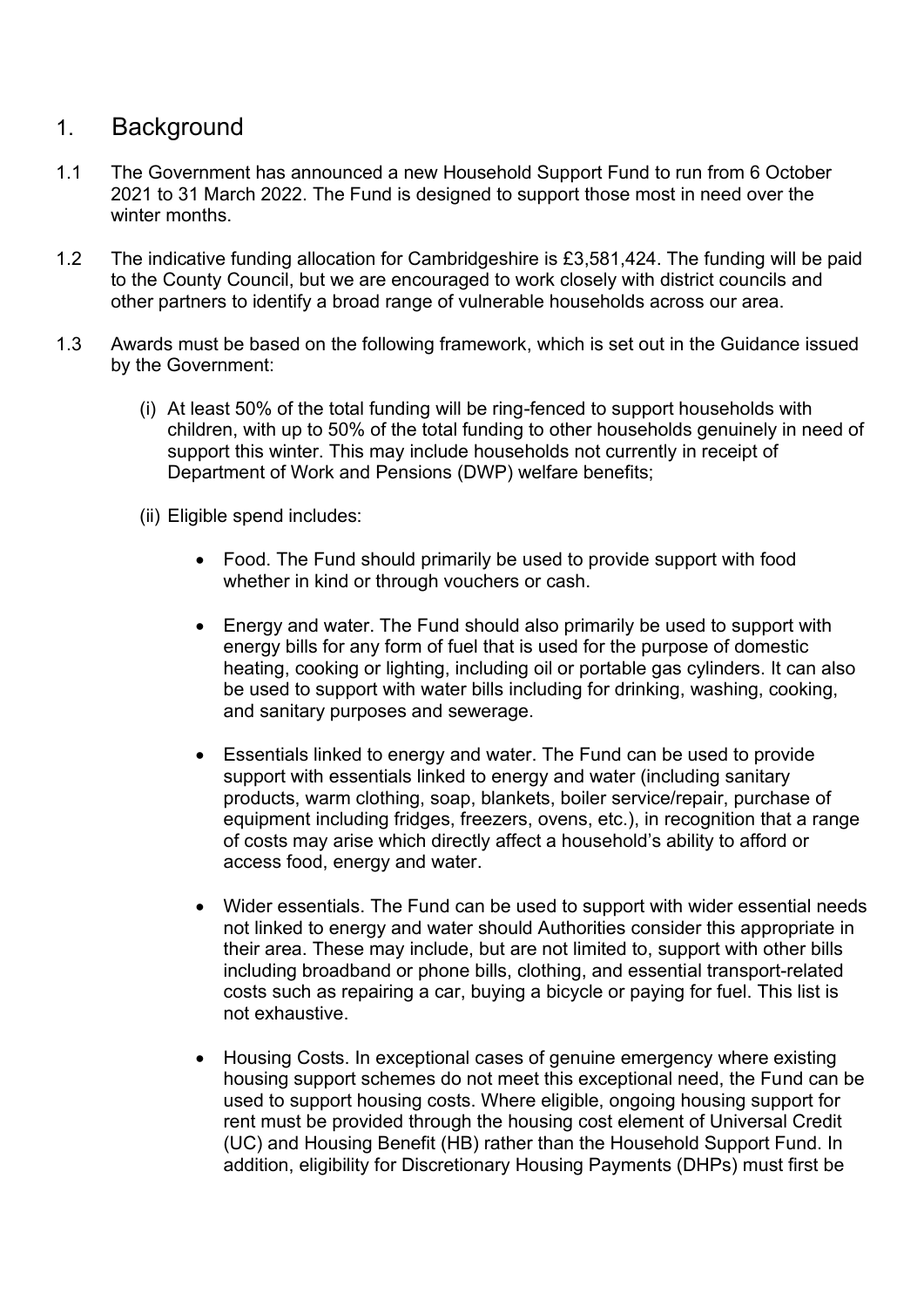## 1. Background

- 1.1 The Government has announced a new Household Support Fund to run from 6 October 2021 to 31 March 2022. The Fund is designed to support those most in need over the winter months
- 1.2 The indicative funding allocation for Cambridgeshire is £3,581,424. The funding will be paid to the County Council, but we are encouraged to work closely with district councils and other partners to identify a broad range of vulnerable households across our area.
- 1.3 Awards must be based on the following framework, which is set out in the Guidance issued by the Government:
	- (i) At least 50% of the total funding will be ring-fenced to support households with children, with up to 50% of the total funding to other households genuinely in need of support this winter. This may include households not currently in receipt of Department of Work and Pensions (DWP) welfare benefits;
	- (ii) Eligible spend includes:
		- Food. The Fund should primarily be used to provide support with food whether in kind or through vouchers or cash.
		- Energy and water. The Fund should also primarily be used to support with energy bills for any form of fuel that is used for the purpose of domestic heating, cooking or lighting, including oil or portable gas cylinders. It can also be used to support with water bills including for drinking, washing, cooking, and sanitary purposes and sewerage.
		- Essentials linked to energy and water. The Fund can be used to provide support with essentials linked to energy and water (including sanitary products, warm clothing, soap, blankets, boiler service/repair, purchase of equipment including fridges, freezers, ovens, etc.), in recognition that a range of costs may arise which directly affect a household's ability to afford or access food, energy and water.
		- Wider essentials. The Fund can be used to support with wider essential needs not linked to energy and water should Authorities consider this appropriate in their area. These may include, but are not limited to, support with other bills including broadband or phone bills, clothing, and essential transport-related costs such as repairing a car, buying a bicycle or paying for fuel. This list is not exhaustive.
		- Housing Costs. In exceptional cases of genuine emergency where existing housing support schemes do not meet this exceptional need, the Fund can be used to support housing costs. Where eligible, ongoing housing support for rent must be provided through the housing cost element of Universal Credit (UC) and Housing Benefit (HB) rather than the Household Support Fund. In addition, eligibility for Discretionary Housing Payments (DHPs) must first be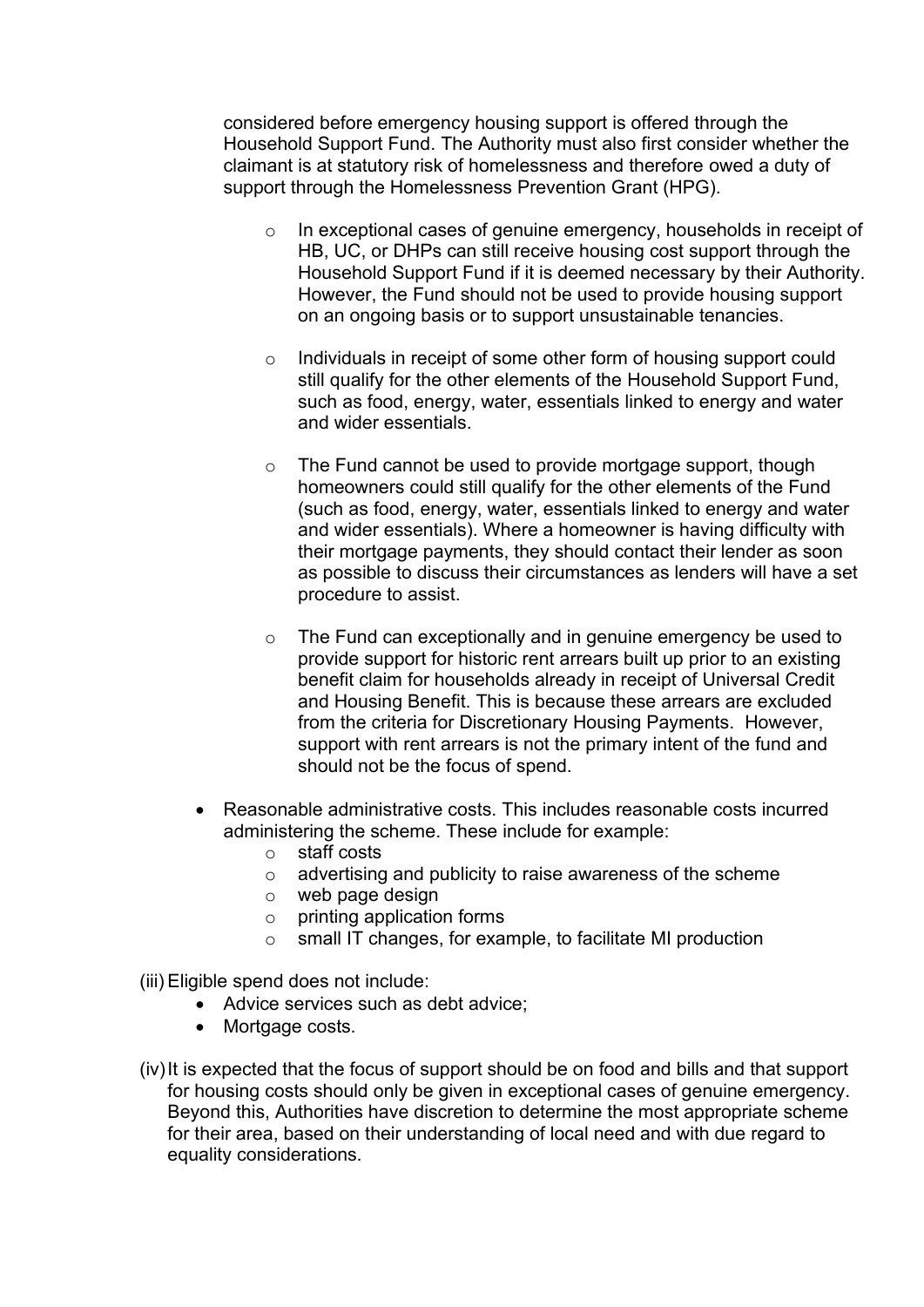considered before emergency housing support is offered through the Household Support Fund. The Authority must also first consider whether the claimant is at statutory risk of homelessness and therefore owed a duty of support through the Homelessness Prevention Grant (HPG).

- o In exceptional cases of genuine emergency, households in receipt of HB, UC, or DHPs can still receive housing cost support through the Household Support Fund if it is deemed necessary by their Authority. However, the Fund should not be used to provide housing support on an ongoing basis or to support unsustainable tenancies.
- o Individuals in receipt of some other form of housing support could still qualify for the other elements of the Household Support Fund, such as food, energy, water, essentials linked to energy and water and wider essentials.
- o The Fund cannot be used to provide mortgage support, though homeowners could still qualify for the other elements of the Fund (such as food, energy, water, essentials linked to energy and water and wider essentials). Where a homeowner is having difficulty with their mortgage payments, they should contact their lender as soon as possible to discuss their circumstances as lenders will have a set procedure to assist.
- o The Fund can exceptionally and in genuine emergency be used to provide support for historic rent arrears built up prior to an existing benefit claim for households already in receipt of Universal Credit and Housing Benefit. This is because these arrears are excluded from the criteria for Discretionary Housing Payments. However, support with rent arrears is not the primary intent of the fund and should not be the focus of spend.
- Reasonable administrative costs. This includes reasonable costs incurred administering the scheme. These include for example:
	- o staff costs
	- o advertising and publicity to raise awareness of the scheme
	- o web page design
	- o printing application forms
	- o small IT changes, for example, to facilitate MI production

(iii) Eligible spend does not include:

- Advice services such as debt advice;
- Mortgage costs.
- (iv)It is expected that the focus of support should be on food and bills and that support for housing costs should only be given in exceptional cases of genuine emergency. Beyond this, Authorities have discretion to determine the most appropriate scheme for their area, based on their understanding of local need and with due regard to equality considerations.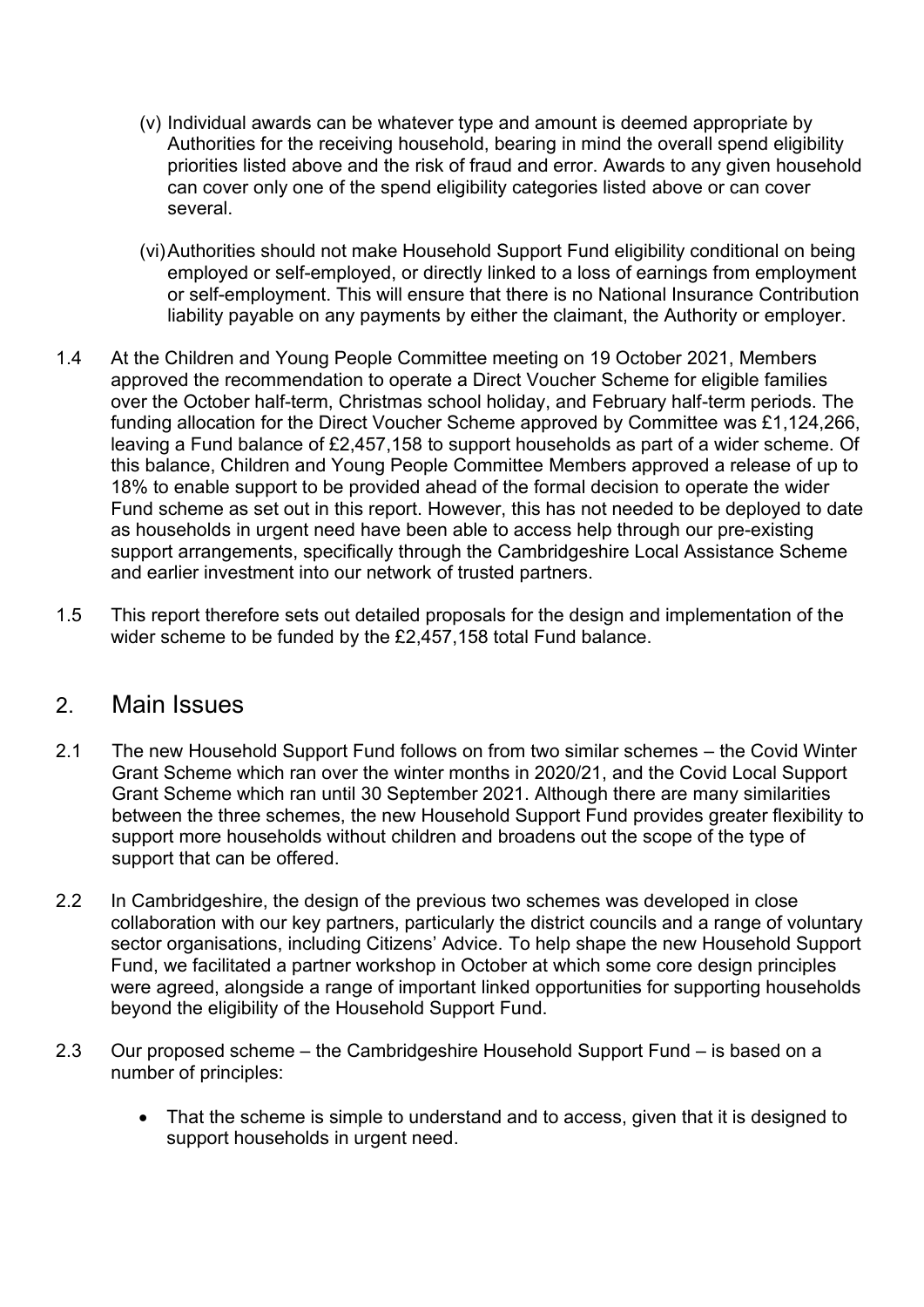- (v) Individual awards can be whatever type and amount is deemed appropriate by Authorities for the receiving household, bearing in mind the overall spend eligibility priorities listed above and the risk of fraud and error. Awards to any given household can cover only one of the spend eligibility categories listed above or can cover several.
- (vi)Authorities should not make Household Support Fund eligibility conditional on being employed or self-employed, or directly linked to a loss of earnings from employment or self-employment. This will ensure that there is no National Insurance Contribution liability payable on any payments by either the claimant, the Authority or employer.
- 1.4 At the Children and Young People Committee meeting on 19 October 2021, Members approved the recommendation to operate a Direct Voucher Scheme for eligible families over the October half-term, Christmas school holiday, and February half-term periods. The funding allocation for the Direct Voucher Scheme approved by Committee was £1,124,266, leaving a Fund balance of £2,457,158 to support households as part of a wider scheme. Of this balance, Children and Young People Committee Members approved a release of up to 18% to enable support to be provided ahead of the formal decision to operate the wider Fund scheme as set out in this report. However, this has not needed to be deployed to date as households in urgent need have been able to access help through our pre-existing support arrangements, specifically through the Cambridgeshire Local Assistance Scheme and earlier investment into our network of trusted partners.
- 1.5 This report therefore sets out detailed proposals for the design and implementation of the wider scheme to be funded by the £2,457,158 total Fund balance.

## 2. Main Issues

- 2.1 The new Household Support Fund follows on from two similar schemes the Covid Winter Grant Scheme which ran over the winter months in 2020/21, and the Covid Local Support Grant Scheme which ran until 30 September 2021. Although there are many similarities between the three schemes, the new Household Support Fund provides greater flexibility to support more households without children and broadens out the scope of the type of support that can be offered.
- 2.2 In Cambridgeshire, the design of the previous two schemes was developed in close collaboration with our key partners, particularly the district councils and a range of voluntary sector organisations, including Citizens' Advice. To help shape the new Household Support Fund, we facilitated a partner workshop in October at which some core design principles were agreed, alongside a range of important linked opportunities for supporting households beyond the eligibility of the Household Support Fund.
- 2.3 Our proposed scheme the Cambridgeshire Household Support Fund is based on a number of principles:
	- That the scheme is simple to understand and to access, given that it is designed to support households in urgent need.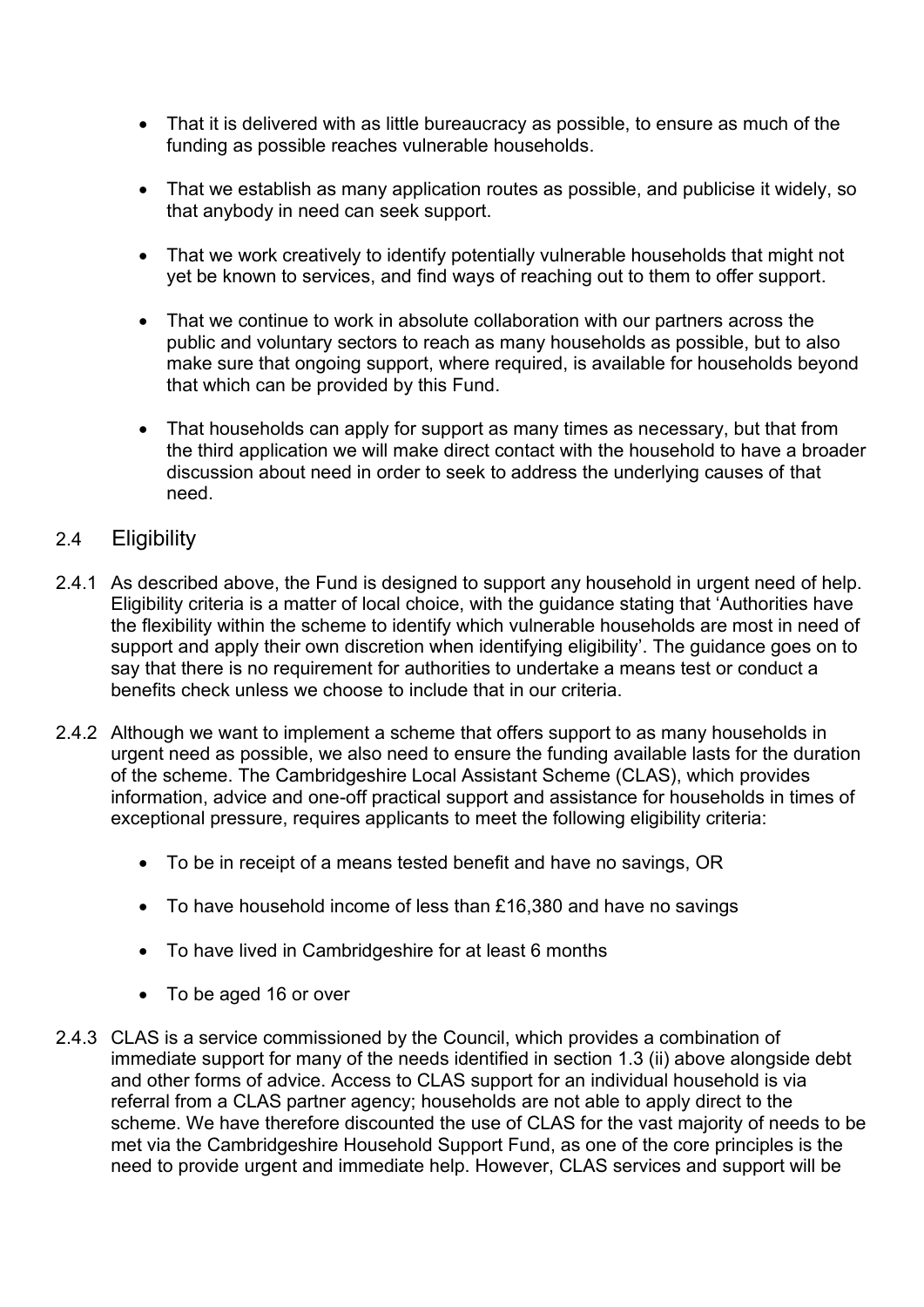- That it is delivered with as little bureaucracy as possible, to ensure as much of the funding as possible reaches vulnerable households.
- That we establish as many application routes as possible, and publicise it widely, so that anybody in need can seek support.
- That we work creatively to identify potentially vulnerable households that might not yet be known to services, and find ways of reaching out to them to offer support.
- That we continue to work in absolute collaboration with our partners across the public and voluntary sectors to reach as many households as possible, but to also make sure that ongoing support, where required, is available for households beyond that which can be provided by this Fund.
- That households can apply for support as many times as necessary, but that from the third application we will make direct contact with the household to have a broader discussion about need in order to seek to address the underlying causes of that need.

## 2.4 Eligibility

- 2.4.1 As described above, the Fund is designed to support any household in urgent need of help. Eligibility criteria is a matter of local choice, with the guidance stating that 'Authorities have the flexibility within the scheme to identify which vulnerable households are most in need of support and apply their own discretion when identifying eligibility'. The guidance goes on to say that there is no requirement for authorities to undertake a means test or conduct a benefits check unless we choose to include that in our criteria.
- 2.4.2 Although we want to implement a scheme that offers support to as many households in urgent need as possible, we also need to ensure the funding available lasts for the duration of the scheme. The Cambridgeshire Local Assistant Scheme (CLAS), which provides information, advice and one-off practical support and assistance for households in times of exceptional pressure, requires applicants to meet the following eligibility criteria:
	- To be in receipt of a means tested benefit and have no savings, OR
	- To have household income of less than £16,380 and have no savings
	- To have lived in Cambridgeshire for at least 6 months
	- To be aged 16 or over
- 2.4.3 CLAS is a service commissioned by the Council, which provides a combination of immediate support for many of the needs identified in section 1.3 (ii) above alongside debt and other forms of advice. Access to CLAS support for an individual household is via referral from a CLAS partner agency; households are not able to apply direct to the scheme. We have therefore discounted the use of CLAS for the vast majority of needs to be met via the Cambridgeshire Household Support Fund, as one of the core principles is the need to provide urgent and immediate help. However, CLAS services and support will be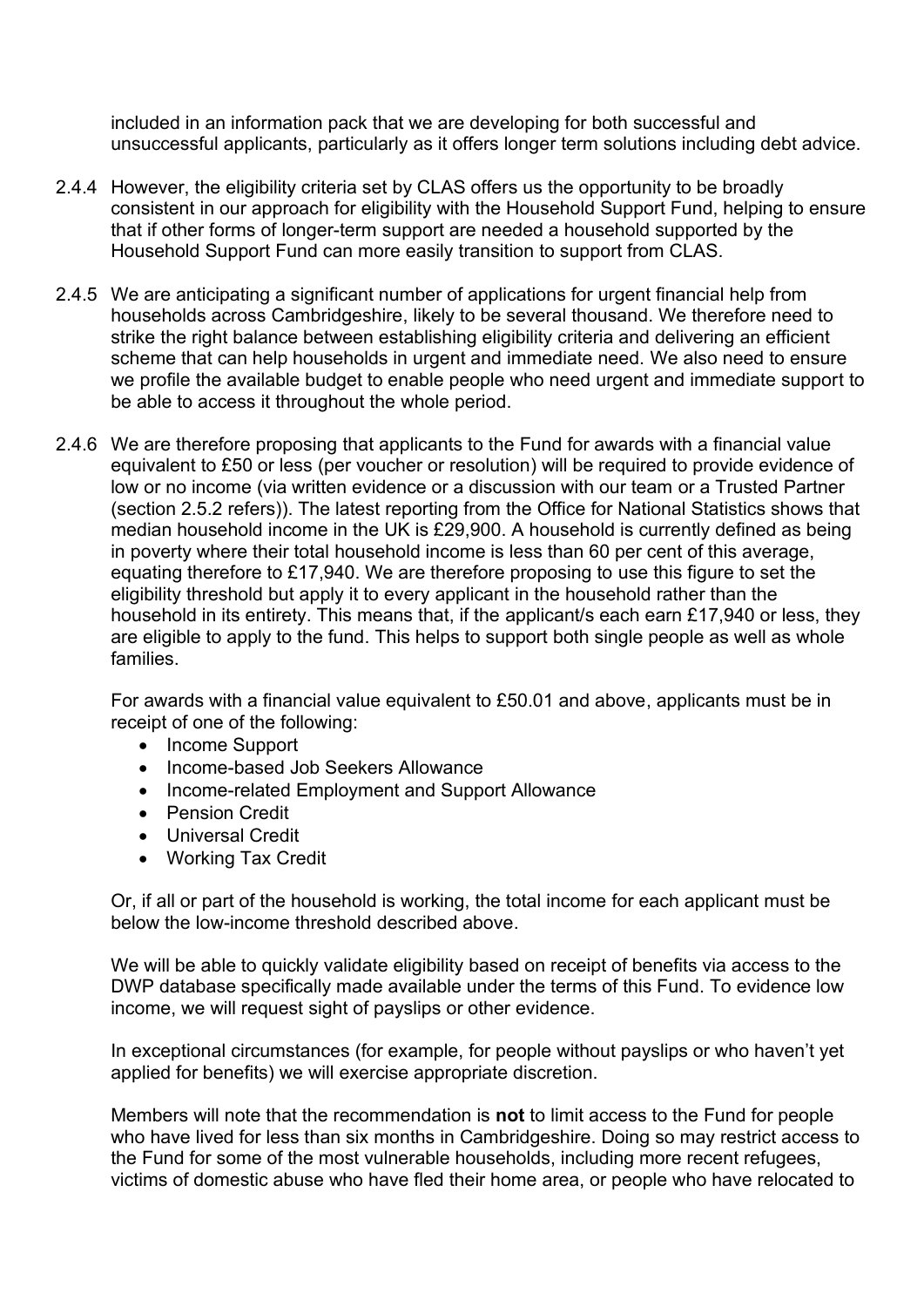included in an information pack that we are developing for both successful and unsuccessful applicants, particularly as it offers longer term solutions including debt advice.

- 2.4.4 However, the eligibility criteria set by CLAS offers us the opportunity to be broadly consistent in our approach for eligibility with the Household Support Fund, helping to ensure that if other forms of longer-term support are needed a household supported by the Household Support Fund can more easily transition to support from CLAS.
- 2.4.5 We are anticipating a significant number of applications for urgent financial help from households across Cambridgeshire, likely to be several thousand. We therefore need to strike the right balance between establishing eligibility criteria and delivering an efficient scheme that can help households in urgent and immediate need. We also need to ensure we profile the available budget to enable people who need urgent and immediate support to be able to access it throughout the whole period.
- 2.4.6 We are therefore proposing that applicants to the Fund for awards with a financial value equivalent to £50 or less (per voucher or resolution) will be required to provide evidence of low or no income (via written evidence or a discussion with our team or a Trusted Partner (section 2.5.2 refers)). The latest reporting from the Office for National Statistics shows that median household income in the UK is £29,900. A household is currently defined as being in poverty where their total household income is less than 60 per cent of this average, equating therefore to £17,940. We are therefore proposing to use this figure to set the eligibility threshold but apply it to every applicant in the household rather than the household in its entirety. This means that, if the applicant/s each earn £17,940 or less, they are eligible to apply to the fund. This helps to support both single people as well as whole families.

For awards with a financial value equivalent to £50.01 and above, applicants must be in receipt of one of the following:

- Income Support
- Income-based Job Seekers Allowance
- Income-related Employment and Support Allowance
- Pension Credit
- Universal Credit
- Working Tax Credit

Or, if all or part of the household is working, the total income for each applicant must be below the low-income threshold described above.

We will be able to quickly validate eligibility based on receipt of benefits via access to the DWP database specifically made available under the terms of this Fund. To evidence low income, we will request sight of payslips or other evidence.

In exceptional circumstances (for example, for people without payslips or who haven't yet applied for benefits) we will exercise appropriate discretion.

Members will note that the recommendation is **not** to limit access to the Fund for people who have lived for less than six months in Cambridgeshire. Doing so may restrict access to the Fund for some of the most vulnerable households, including more recent refugees, victims of domestic abuse who have fled their home area, or people who have relocated to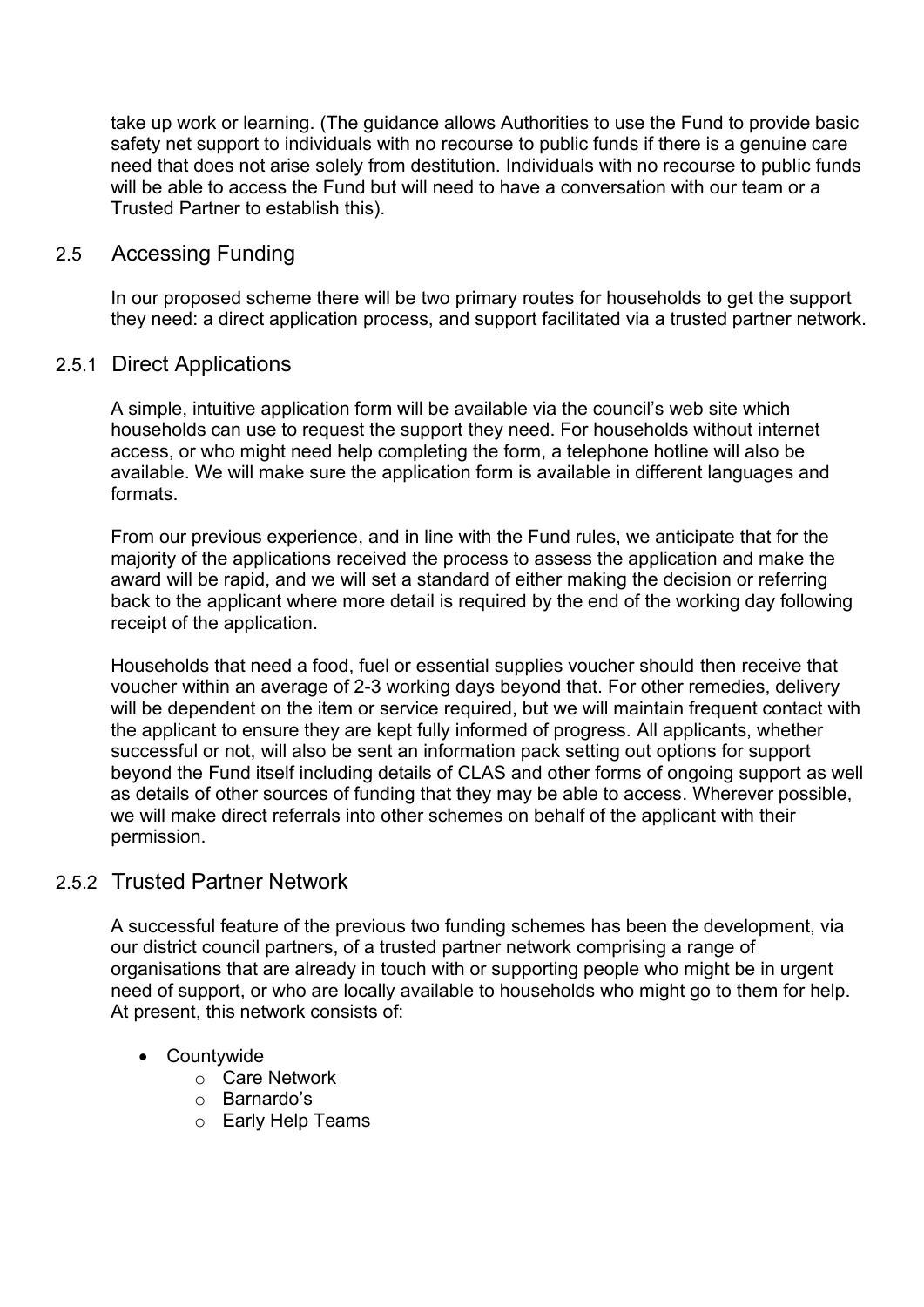take up work or learning. (The guidance allows Authorities to use the Fund to provide basic safety net support to individuals with no recourse to public funds if there is a genuine care need that does not arise solely from destitution. Individuals with no recourse to public funds will be able to access the Fund but will need to have a conversation with our team or a Trusted Partner to establish this).

## 2.5 Accessing Funding

In our proposed scheme there will be two primary routes for households to get the support they need: a direct application process, and support facilitated via a trusted partner network.

## 2.5.1 Direct Applications

A simple, intuitive application form will be available via the council's web site which households can use to request the support they need. For households without internet access, or who might need help completing the form, a telephone hotline will also be available. We will make sure the application form is available in different languages and formats.

From our previous experience, and in line with the Fund rules, we anticipate that for the majority of the applications received the process to assess the application and make the award will be rapid, and we will set a standard of either making the decision or referring back to the applicant where more detail is required by the end of the working day following receipt of the application.

Households that need a food, fuel or essential supplies voucher should then receive that voucher within an average of 2-3 working days beyond that. For other remedies, delivery will be dependent on the item or service required, but we will maintain frequent contact with the applicant to ensure they are kept fully informed of progress. All applicants, whether successful or not, will also be sent an information pack setting out options for support beyond the Fund itself including details of CLAS and other forms of ongoing support as well as details of other sources of funding that they may be able to access. Wherever possible, we will make direct referrals into other schemes on behalf of the applicant with their permission.

## 2.5.2 Trusted Partner Network

A successful feature of the previous two funding schemes has been the development, via our district council partners, of a trusted partner network comprising a range of organisations that are already in touch with or supporting people who might be in urgent need of support, or who are locally available to households who might go to them for help. At present, this network consists of:

- Countywide
	- o Care Network
	- o Barnardo's
	- o Early Help Teams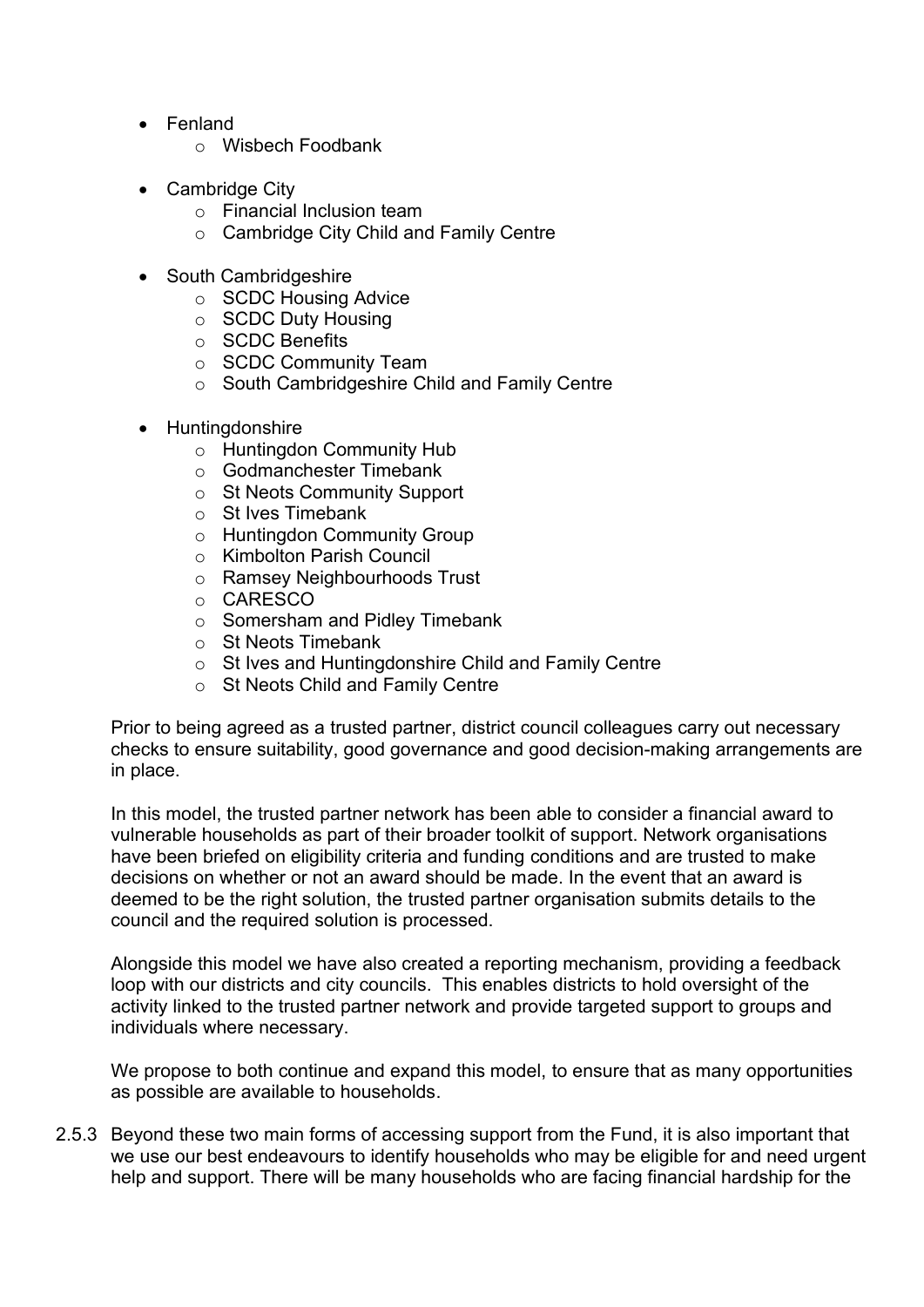- Fenland
	- o Wisbech Foodbank
- Cambridge City
	- o Financial Inclusion team
	- o Cambridge City Child and Family Centre
- South Cambridgeshire
	- o SCDC Housing Advice
	- o SCDC Duty Housing
	- o SCDC Benefits
	- o SCDC Community Team
	- o South Cambridgeshire Child and Family Centre
- Huntingdonshire
	- o Huntingdon Community Hub
	- o Godmanchester Timebank
	- o St Neots Community Support
	- o St Ives Timebank
	- o Huntingdon Community Group
	- o Kimbolton Parish Council
	- o Ramsey Neighbourhoods Trust
	- o CARESCO
	- o Somersham and Pidley Timebank
	- o St Neots Timebank
	- o St Ives and Huntingdonshire Child and Family Centre
	- o St Neots Child and Family Centre

Prior to being agreed as a trusted partner, district council colleagues carry out necessary checks to ensure suitability, good governance and good decision-making arrangements are in place.

In this model, the trusted partner network has been able to consider a financial award to vulnerable households as part of their broader toolkit of support. Network organisations have been briefed on eligibility criteria and funding conditions and are trusted to make decisions on whether or not an award should be made. In the event that an award is deemed to be the right solution, the trusted partner organisation submits details to the council and the required solution is processed.

Alongside this model we have also created a reporting mechanism, providing a feedback loop with our districts and city councils. This enables districts to hold oversight of the activity linked to the trusted partner network and provide targeted support to groups and individuals where necessary.

We propose to both continue and expand this model, to ensure that as many opportunities as possible are available to households.

2.5.3 Beyond these two main forms of accessing support from the Fund, it is also important that we use our best endeavours to identify households who may be eligible for and need urgent help and support. There will be many households who are facing financial hardship for the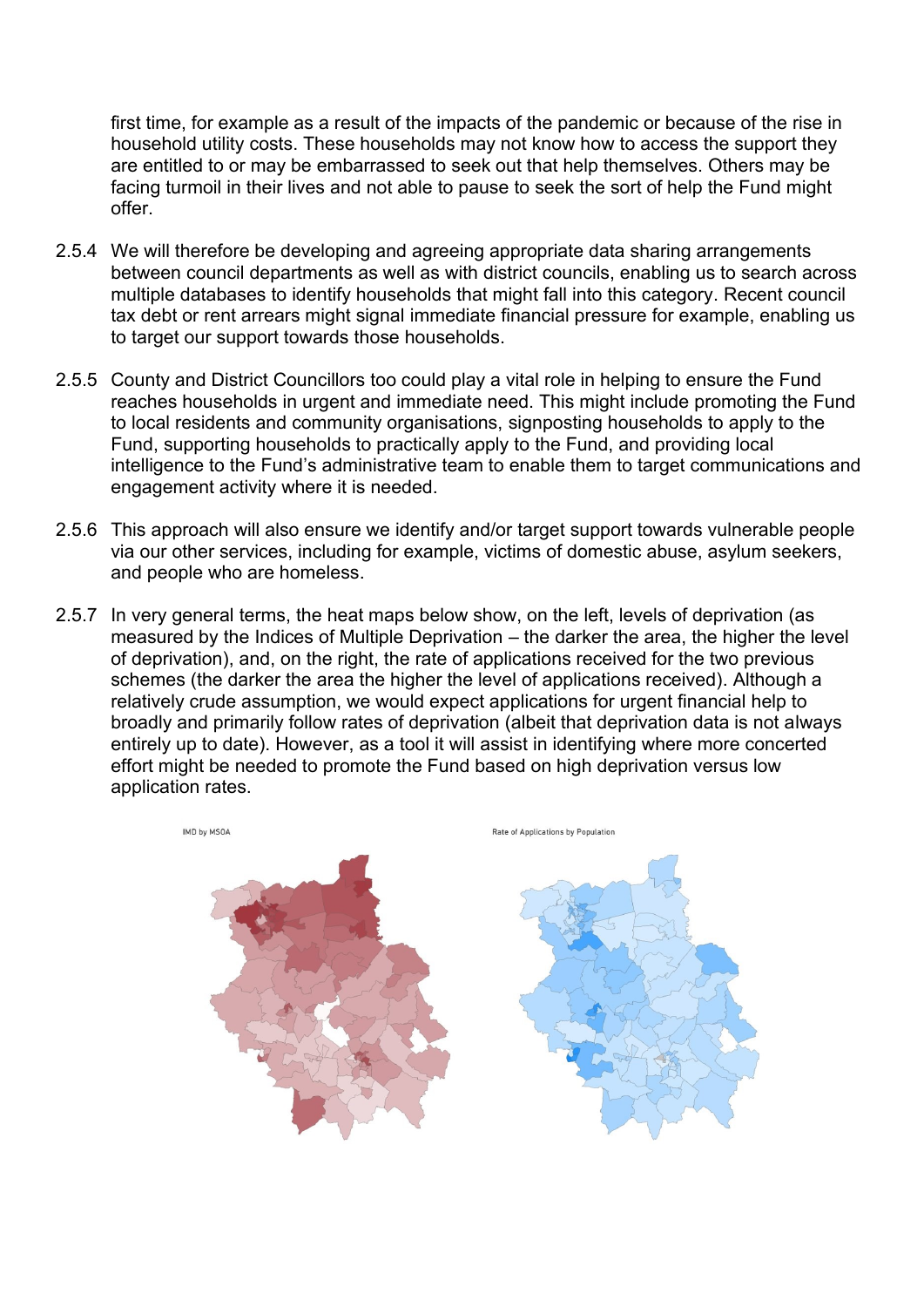first time, for example as a result of the impacts of the pandemic or because of the rise in household utility costs. These households may not know how to access the support they are entitled to or may be embarrassed to seek out that help themselves. Others may be facing turmoil in their lives and not able to pause to seek the sort of help the Fund might offer.

- 2.5.4 We will therefore be developing and agreeing appropriate data sharing arrangements between council departments as well as with district councils, enabling us to search across multiple databases to identify households that might fall into this category. Recent council tax debt or rent arrears might signal immediate financial pressure for example, enabling us to target our support towards those households.
- 2.5.5 County and District Councillors too could play a vital role in helping to ensure the Fund reaches households in urgent and immediate need. This might include promoting the Fund to local residents and community organisations, signposting households to apply to the Fund, supporting households to practically apply to the Fund, and providing local intelligence to the Fund's administrative team to enable them to target communications and engagement activity where it is needed.
- 2.5.6 This approach will also ensure we identify and/or target support towards vulnerable people via our other services, including for example, victims of domestic abuse, asylum seekers, and people who are homeless.
- 2.5.7 In very general terms, the heat maps below show, on the left, levels of deprivation (as measured by the Indices of Multiple Deprivation – the darker the area, the higher the level of deprivation), and, on the right, the rate of applications received for the two previous schemes (the darker the area the higher the level of applications received). Although a relatively crude assumption, we would expect applications for urgent financial help to broadly and primarily follow rates of deprivation (albeit that deprivation data is not always entirely up to date). However, as a tool it will assist in identifying where more concerted effort might be needed to promote the Fund based on high deprivation versus low application rates.

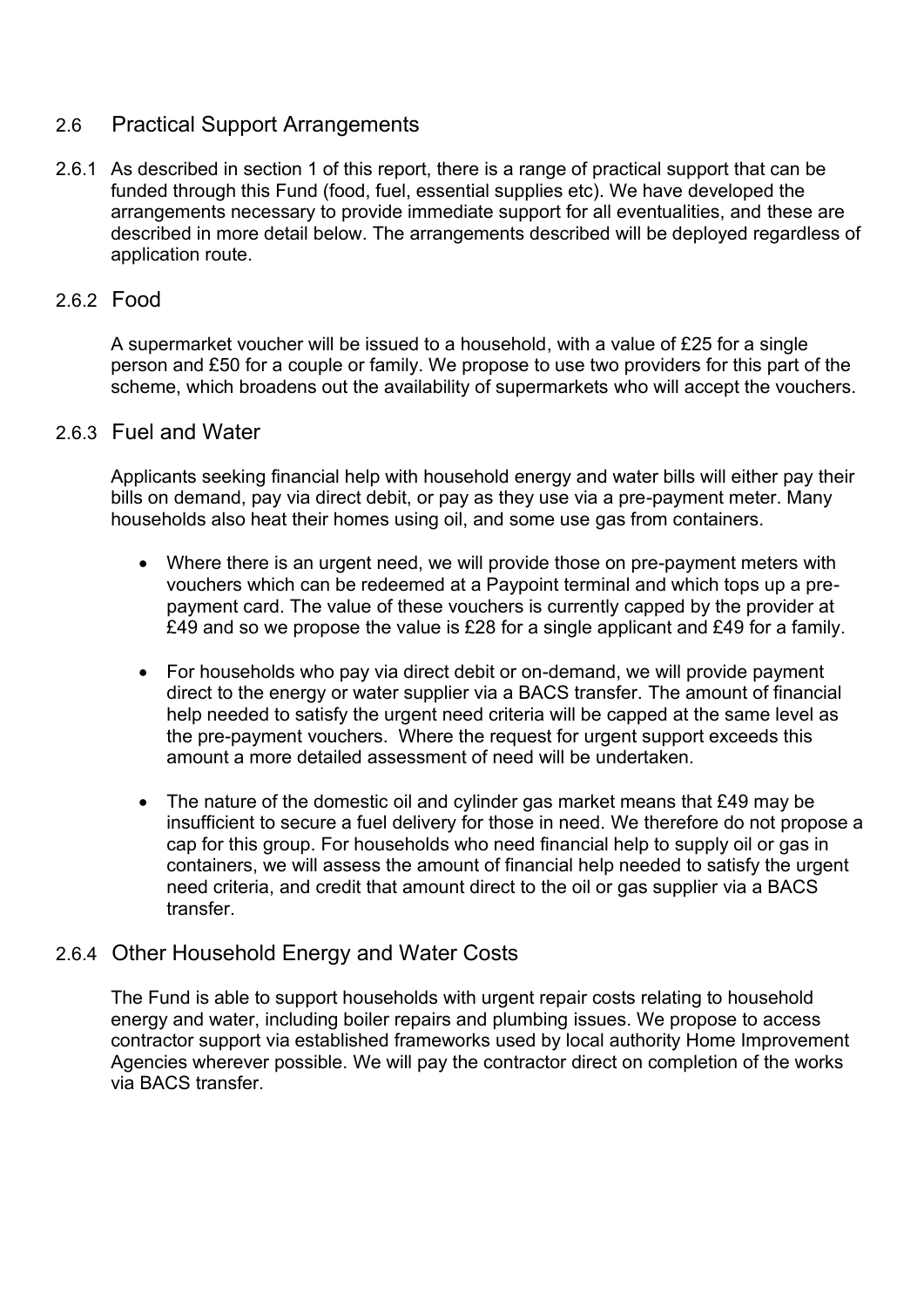## 2.6 Practical Support Arrangements

2.6.1 As described in section 1 of this report, there is a range of practical support that can be funded through this Fund (food, fuel, essential supplies etc). We have developed the arrangements necessary to provide immediate support for all eventualities, and these are described in more detail below. The arrangements described will be deployed regardless of application route.

## 2.6.2 Food

A supermarket voucher will be issued to a household, with a value of £25 for a single person and £50 for a couple or family. We propose to use two providers for this part of the scheme, which broadens out the availability of supermarkets who will accept the vouchers.

#### 2.6.3 Fuel and Water

Applicants seeking financial help with household energy and water bills will either pay their bills on demand, pay via direct debit, or pay as they use via a pre-payment meter. Many households also heat their homes using oil, and some use gas from containers.

- Where there is an urgent need, we will provide those on pre-payment meters with vouchers which can be redeemed at a Paypoint terminal and which tops up a prepayment card. The value of these vouchers is currently capped by the provider at £49 and so we propose the value is £28 for a single applicant and £49 for a family.
- For households who pay via direct debit or on-demand, we will provide payment direct to the energy or water supplier via a BACS transfer. The amount of financial help needed to satisfy the urgent need criteria will be capped at the same level as the pre-payment vouchers. Where the request for urgent support exceeds this amount a more detailed assessment of need will be undertaken.
- The nature of the domestic oil and cylinder gas market means that £49 may be insufficient to secure a fuel delivery for those in need. We therefore do not propose a cap for this group. For households who need financial help to supply oil or gas in containers, we will assess the amount of financial help needed to satisfy the urgent need criteria, and credit that amount direct to the oil or gas supplier via a BACS transfer.

## 2.6.4 Other Household Energy and Water Costs

The Fund is able to support households with urgent repair costs relating to household energy and water, including boiler repairs and plumbing issues. We propose to access contractor support via established frameworks used by local authority Home Improvement Agencies wherever possible. We will pay the contractor direct on completion of the works via BACS transfer.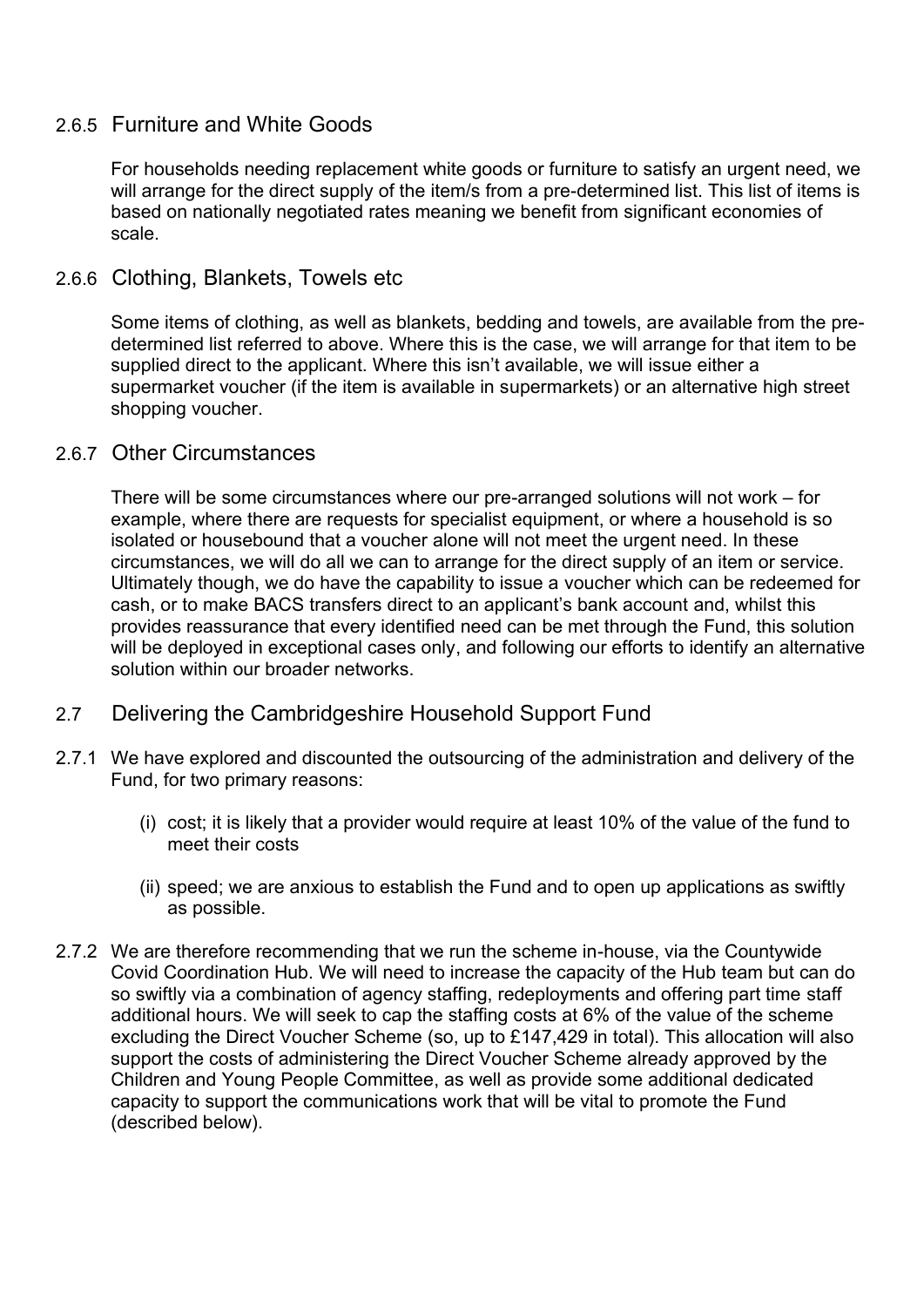## 2.6.5 Furniture and White Goods

For households needing replacement white goods or furniture to satisfy an urgent need, we will arrange for the direct supply of the item/s from a pre-determined list. This list of items is based on nationally negotiated rates meaning we benefit from significant economies of scale.

#### 2.6.6 Clothing, Blankets, Towels etc

Some items of clothing, as well as blankets, bedding and towels, are available from the predetermined list referred to above. Where this is the case, we will arrange for that item to be supplied direct to the applicant. Where this isn't available, we will issue either a supermarket voucher (if the item is available in supermarkets) or an alternative high street shopping voucher.

#### 2.6.7 Other Circumstances

There will be some circumstances where our pre-arranged solutions will not work – for example, where there are requests for specialist equipment, or where a household is so isolated or housebound that a voucher alone will not meet the urgent need. In these circumstances, we will do all we can to arrange for the direct supply of an item or service. Ultimately though, we do have the capability to issue a voucher which can be redeemed for cash, or to make BACS transfers direct to an applicant's bank account and, whilst this provides reassurance that every identified need can be met through the Fund, this solution will be deployed in exceptional cases only, and following our efforts to identify an alternative solution within our broader networks.

## 2.7 Delivering the Cambridgeshire Household Support Fund

- 2.7.1 We have explored and discounted the outsourcing of the administration and delivery of the Fund, for two primary reasons:
	- (i) cost; it is likely that a provider would require at least 10% of the value of the fund to meet their costs
	- (ii) speed; we are anxious to establish the Fund and to open up applications as swiftly as possible.
- 2.7.2 We are therefore recommending that we run the scheme in-house, via the Countywide Covid Coordination Hub. We will need to increase the capacity of the Hub team but can do so swiftly via a combination of agency staffing, redeployments and offering part time staff additional hours. We will seek to cap the staffing costs at 6% of the value of the scheme excluding the Direct Voucher Scheme (so, up to £147,429 in total). This allocation will also support the costs of administering the Direct Voucher Scheme already approved by the Children and Young People Committee, as well as provide some additional dedicated capacity to support the communications work that will be vital to promote the Fund (described below).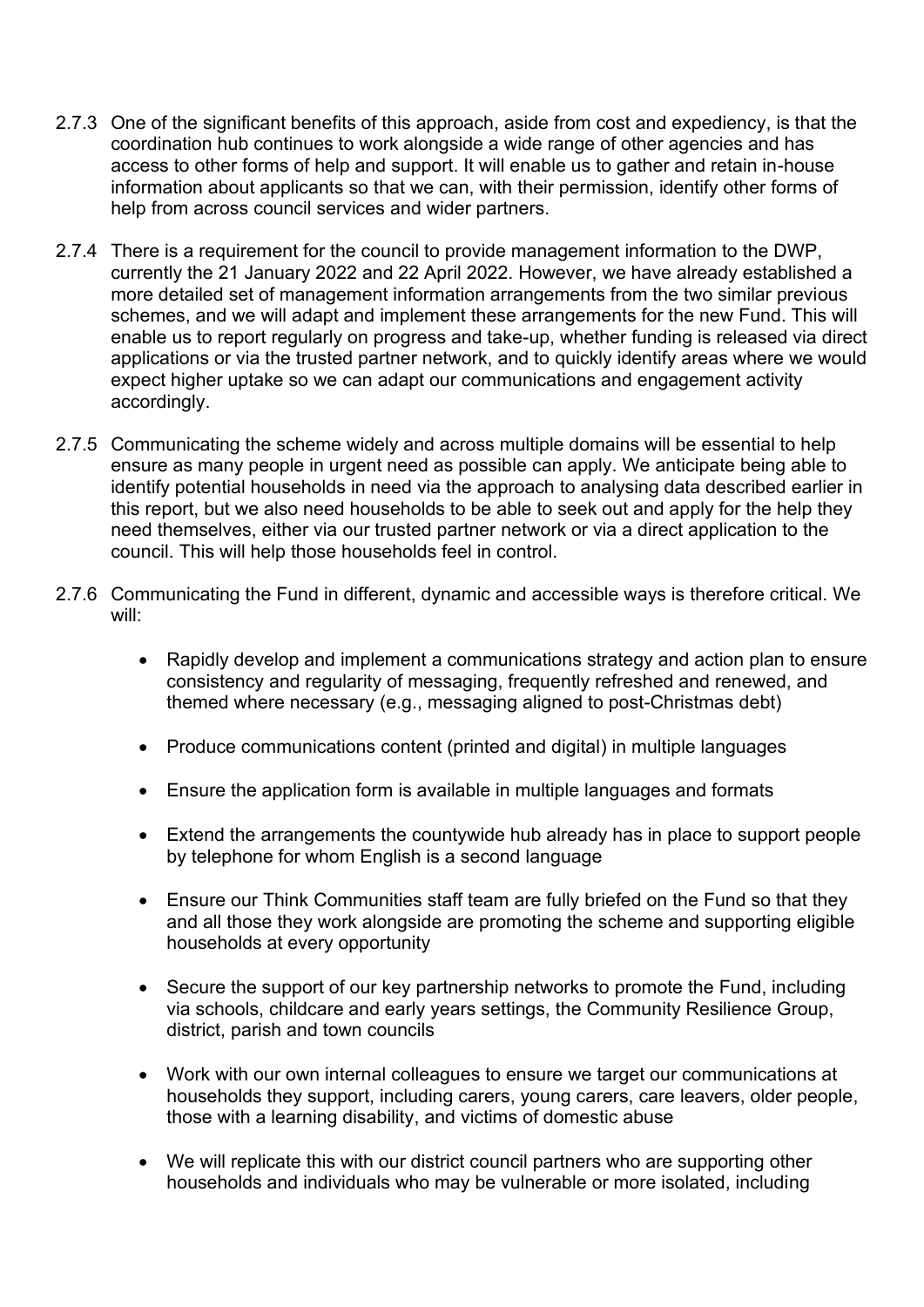- 2.7.3 One of the significant benefits of this approach, aside from cost and expediency, is that the coordination hub continues to work alongside a wide range of other agencies and has access to other forms of help and support. It will enable us to gather and retain in-house information about applicants so that we can, with their permission, identify other forms of help from across council services and wider partners.
- 2.7.4 There is a requirement for the council to provide management information to the DWP, currently the 21 January 2022 and 22 April 2022. However, we have already established a more detailed set of management information arrangements from the two similar previous schemes, and we will adapt and implement these arrangements for the new Fund. This will enable us to report regularly on progress and take-up, whether funding is released via direct applications or via the trusted partner network, and to quickly identify areas where we would expect higher uptake so we can adapt our communications and engagement activity accordingly.
- 2.7.5 Communicating the scheme widely and across multiple domains will be essential to help ensure as many people in urgent need as possible can apply. We anticipate being able to identify potential households in need via the approach to analysing data described earlier in this report, but we also need households to be able to seek out and apply for the help they need themselves, either via our trusted partner network or via a direct application to the council. This will help those households feel in control.
- 2.7.6 Communicating the Fund in different, dynamic and accessible ways is therefore critical. We will:
	- Rapidly develop and implement a communications strategy and action plan to ensure consistency and regularity of messaging, frequently refreshed and renewed, and themed where necessary (e.g., messaging aligned to post-Christmas debt)
	- Produce communications content (printed and digital) in multiple languages
	- Ensure the application form is available in multiple languages and formats
	- Extend the arrangements the countywide hub already has in place to support people by telephone for whom English is a second language
	- Ensure our Think Communities staff team are fully briefed on the Fund so that they and all those they work alongside are promoting the scheme and supporting eligible households at every opportunity
	- Secure the support of our key partnership networks to promote the Fund, including via schools, childcare and early years settings, the Community Resilience Group, district, parish and town councils
	- Work with our own internal colleagues to ensure we target our communications at households they support, including carers, young carers, care leavers, older people, those with a learning disability, and victims of domestic abuse
	- We will replicate this with our district council partners who are supporting other households and individuals who may be vulnerable or more isolated, including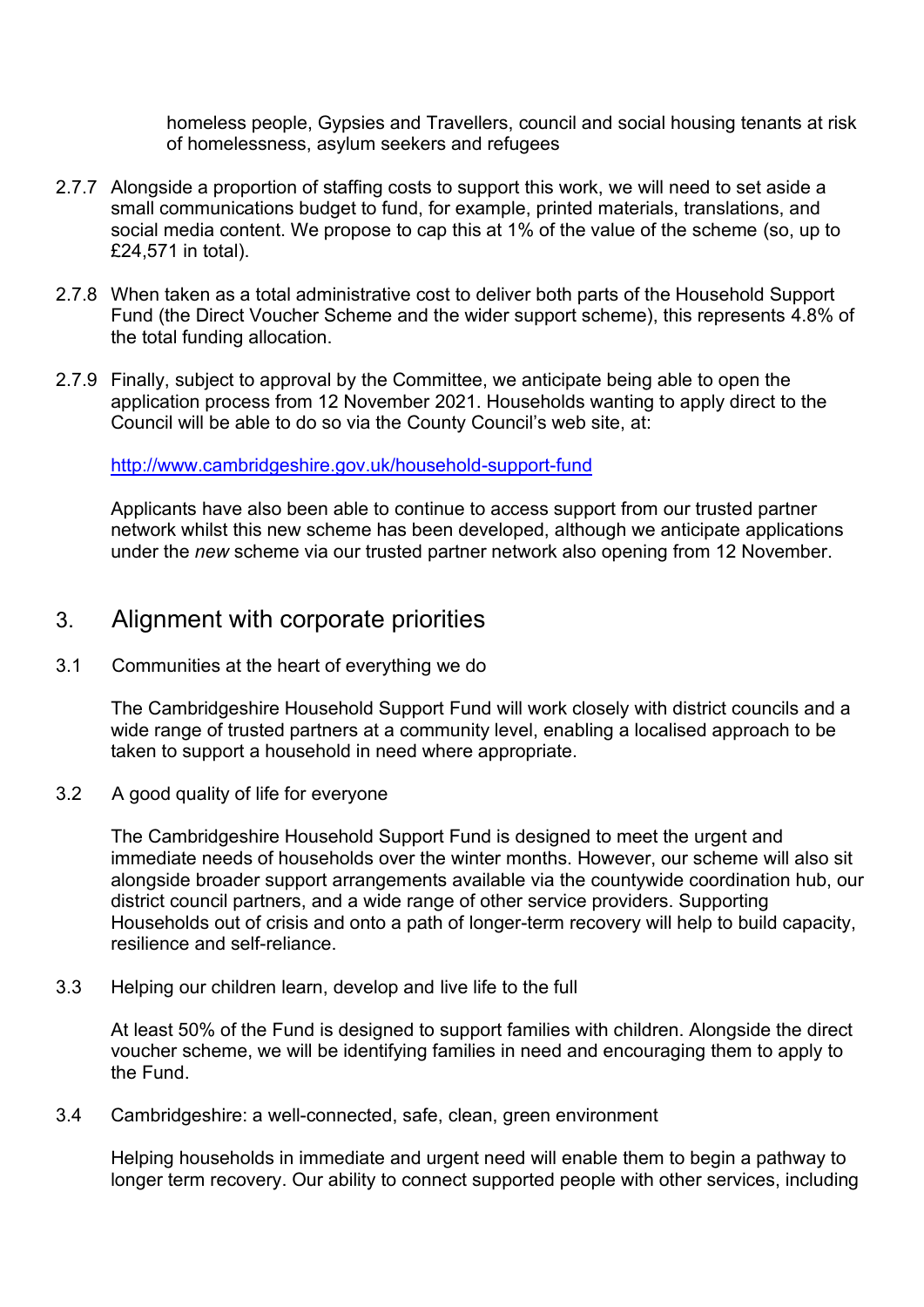homeless people, Gypsies and Travellers, council and social housing tenants at risk of homelessness, asylum seekers and refugees

- 2.7.7 Alongside a proportion of staffing costs to support this work, we will need to set aside a small communications budget to fund, for example, printed materials, translations, and social media content. We propose to cap this at 1% of the value of the scheme (so, up to £24,571 in total).
- 2.7.8 When taken as a total administrative cost to deliver both parts of the Household Support Fund (the Direct Voucher Scheme and the wider support scheme), this represents 4.8% of the total funding allocation.
- 2.7.9 Finally, subject to approval by the Committee, we anticipate being able to open the application process from 12 November 2021. Households wanting to apply direct to the Council will be able to do so via the County Council's web site, at:

<http://www.cambridgeshire.gov.uk/household-support-fund>

Applicants have also been able to continue to access support from our trusted partner network whilst this new scheme has been developed, although we anticipate applications under the *new* scheme via our trusted partner network also opening from 12 November.

## 3. Alignment with corporate priorities

3.1 Communities at the heart of everything we do

The Cambridgeshire Household Support Fund will work closely with district councils and a wide range of trusted partners at a community level, enabling a localised approach to be taken to support a household in need where appropriate.

3.2 A good quality of life for everyone

The Cambridgeshire Household Support Fund is designed to meet the urgent and immediate needs of households over the winter months. However, our scheme will also sit alongside broader support arrangements available via the countywide coordination hub, our district council partners, and a wide range of other service providers. Supporting Households out of crisis and onto a path of longer-term recovery will help to build capacity, resilience and self-reliance.

3.3 Helping our children learn, develop and live life to the full

At least 50% of the Fund is designed to support families with children. Alongside the direct voucher scheme, we will be identifying families in need and encouraging them to apply to the Fund.

3.4 Cambridgeshire: a well-connected, safe, clean, green environment

Helping households in immediate and urgent need will enable them to begin a pathway to longer term recovery. Our ability to connect supported people with other services, including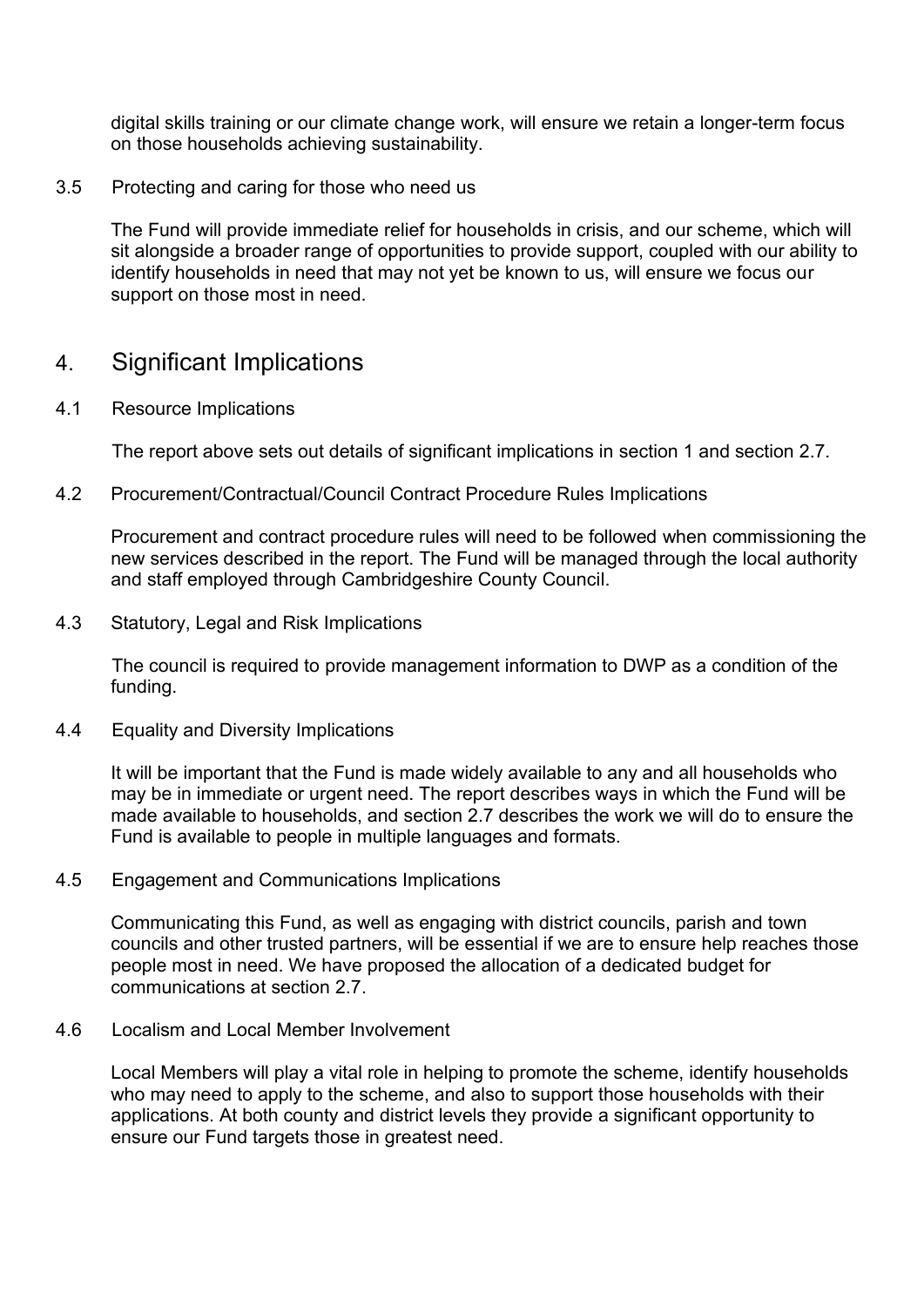digital skills training or our climate change work, will ensure we retain a longer-term focus on those households achieving sustainability.

#### 3.5 Protecting and caring for those who need us

The Fund will provide immediate relief for households in crisis, and our scheme, which will sit alongside a broader range of opportunities to provide support, coupled with our ability to identify households in need that may not yet be known to us, will ensure we focus our support on those most in need.

## 4. Significant Implications

4.1 Resource Implications

The report above sets out details of significant implications in section 1 and section 2.7.

4.2 Procurement/Contractual/Council Contract Procedure Rules Implications

Procurement and contract procedure rules will need to be followed when commissioning the new services described in the report. The Fund will be managed through the local authority and staff employed through Cambridgeshire County Council.

4.3 Statutory, Legal and Risk Implications

The council is required to provide management information to DWP as a condition of the funding.

4.4 Equality and Diversity Implications

It will be important that the Fund is made widely available to any and all households who may be in immediate or urgent need. The report describes ways in which the Fund will be made available to households, and section 2.7 describes the work we will do to ensure the Fund is available to people in multiple languages and formats.

4.5 Engagement and Communications Implications

Communicating this Fund, as well as engaging with district councils, parish and town councils and other trusted partners, will be essential if we are to ensure help reaches those people most in need. We have proposed the allocation of a dedicated budget for communications at section 2.7.

#### 4.6 Localism and Local Member Involvement

Local Members will play a vital role in helping to promote the scheme, identify households who may need to apply to the scheme, and also to support those households with their applications. At both county and district levels they provide a significant opportunity to ensure our Fund targets those in greatest need.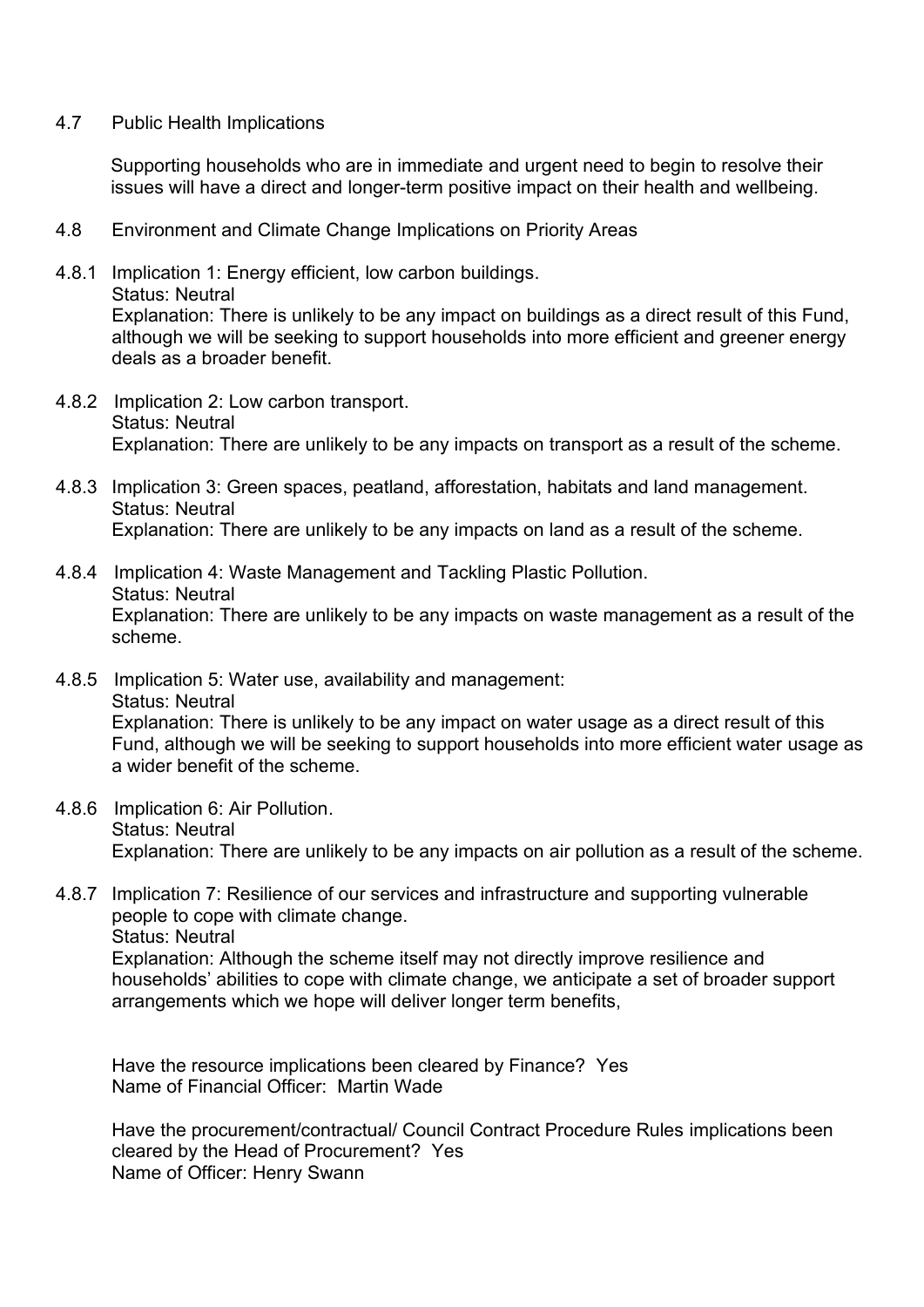4.7 Public Health Implications

Supporting households who are in immediate and urgent need to begin to resolve their issues will have a direct and longer-term positive impact on their health and wellbeing.

- 4.8 Environment and Climate Change Implications on Priority Areas
- 4.8.1 Implication 1: Energy efficient, low carbon buildings.

Status: Neutral

Explanation: There is unlikely to be any impact on buildings as a direct result of this Fund, although we will be seeking to support households into more efficient and greener energy deals as a broader benefit.

- 4.8.2 Implication 2: Low carbon transport. Status: Neutral Explanation: There are unlikely to be any impacts on transport as a result of the scheme.
- 4.8.3 Implication 3: Green spaces, peatland, afforestation, habitats and land management. Status: Neutral Explanation: There are unlikely to be any impacts on land as a result of the scheme.
- 4.8.4 Implication 4: Waste Management and Tackling Plastic Pollution. Status: Neutral Explanation: There are unlikely to be any impacts on waste management as a result of the scheme.
- 4.8.5 Implication 5: Water use, availability and management: Status: Neutral Explanation: There is unlikely to be any impact on water usage as a direct result of this Fund, although we will be seeking to support households into more efficient water usage as a wider benefit of the scheme.
- 4.8.6 Implication 6: Air Pollution. Status: Neutral Explanation: There are unlikely to be any impacts on air pollution as a result of the scheme.
- 4.8.7 Implication 7: Resilience of our services and infrastructure and supporting vulnerable people to cope with climate change. Status: Neutral Explanation: Although the scheme itself may not directly improve resilience and households' abilities to cope with climate change, we anticipate a set of broader support arrangements which we hope will deliver longer term benefits,

Have the resource implications been cleared by Finance? Yes Name of Financial Officer: Martin Wade

Have the procurement/contractual/ Council Contract Procedure Rules implications been cleared by the Head of Procurement? Yes Name of Officer: Henry Swann